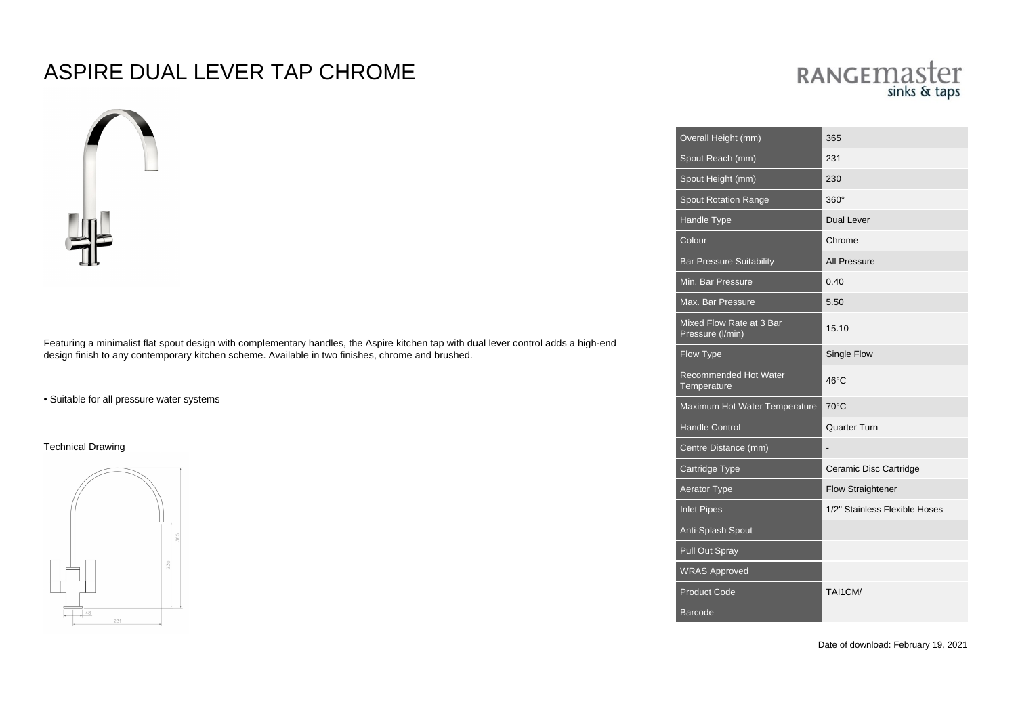## ASPIRE DUAL LEVER TAP CHROME



Featuring a minimalist flat spout design with complementary handles, the Aspire kitchen tap with dual lever control adds a high-end design finish to any contemporary kitchen scheme. Available in two finishes, chrome and brushed.

• Suitable for all pressure water systems

Technical Drawing



## RANGEMASter sinks & taps

| Overall Height (mm)                          | 365                           |
|----------------------------------------------|-------------------------------|
| Spout Reach (mm)                             | 231                           |
| Spout Height (mm)                            | 230                           |
| <b>Spout Rotation Range</b>                  | $360^\circ$                   |
| Handle Type                                  | <b>Dual Lever</b>             |
| Colour                                       | Chrome                        |
| <b>Bar Pressure Suitability</b>              | <b>All Pressure</b>           |
| Min. Bar Pressure                            | 0.40                          |
| Max. Bar Pressure                            | 5.50                          |
| Mixed Flow Rate at 3 Bar<br>Pressure (I/min) | 15.10                         |
| Flow Type                                    | Single Flow                   |
| <b>Recommended Hot Water</b><br>Temperature  | 46°C                          |
| Maximum Hot Water Temperature                | 70°C                          |
| <b>Handle Control</b>                        | Quarter Turn                  |
| Centre Distance (mm)                         |                               |
| Cartridge Type                               | Ceramic Disc Cartridge        |
| <b>Aerator Type</b>                          | <b>Flow Straightener</b>      |
| <b>Inlet Pipes</b>                           | 1/2" Stainless Flexible Hoses |
| Anti-Splash Spout                            |                               |
| Pull Out Spray                               |                               |
| <b>WRAS Approved</b>                         |                               |
| <b>Product Code</b>                          | TAI1CM/                       |
| <b>Barcode</b>                               |                               |

Date of download: February 19, 2021